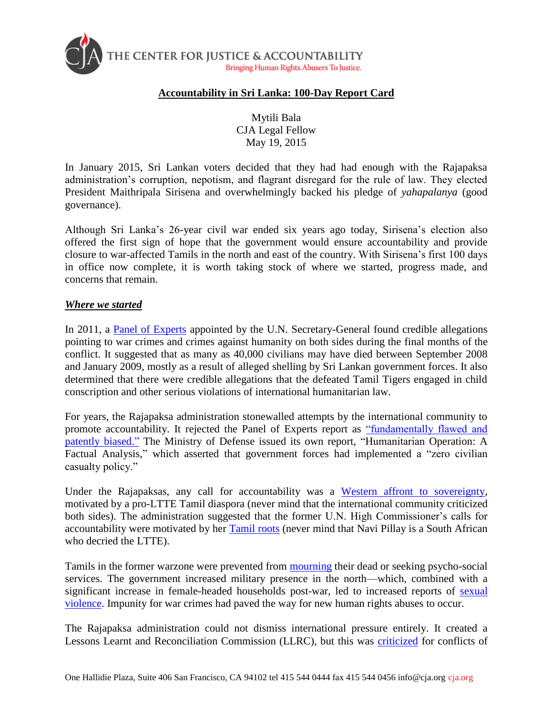

#### **Accountability in Sri Lanka: 100-Day Report Card**

Mytili Bala CJA Legal Fellow May 19, 2015

In January 2015, Sri Lankan voters decided that they had had enough with the Rajapaksa administration's corruption, nepotism, and flagrant disregard for the rule of law. They elected President Maithripala Sirisena and overwhelmingly backed his pledge of *yahapalanya* (good governance).

Although Sri Lanka's 26-year civil war ended six years ago today, Sirisena's election also offered the first sign of hope that the government would ensure accountability and provide closure to war-affected Tamils in the north and east of the country. With Sirisena's first 100 days in office now complete, it is worth taking stock of where we started, progress made, and concerns that remain.

#### *Where we started*

In 2011, a [Panel of Experts](http://www.un.org/News/dh/infocus/Sri_Lanka/POE_Report_Full.pdf) appointed by the U.N. Secretary-General found credible allegations pointing to war crimes and crimes against humanity on both sides during the final months of the conflict. It suggested that as many as 40,000 civilians may have died between September 2008 and January 2009, mostly as a result of alleged shelling by Sri Lankan government forces. It also determined that there were credible allegations that the defeated Tamil Tigers engaged in child conscription and other serious violations of international humanitarian law.

For years, the Rajapaksa administration stonewalled attempts by the international community to promote accountability. It rejected the Panel of Experts report as ["fundamentally flawed and](http://www.defence.lk/new.asp?fname=20110415_01)  [patently biased."](http://www.defence.lk/new.asp?fname=20110415_01) The Ministry of Defense issued its own report, "Humanitarian Operation: A Factual Analysis," which asserted that government forces had implemented a "zero civilian casualty policy."

Under the Rajapaksas, any call for accountability was a [Western affront to sovereignty,](http://www.defence.lk/new.asp?fname=Sinister_forces_intensify_campaign_against_Lanka_20140302_01) motivated by a pro-LTTE Tamil diaspora (never mind that the international community criticized both sides). The administration suggested that the former U.N. High Commissioner's calls for accountability were motivated by her [Tamil roots](http://www.ohchr.org/EN/NewsEvents/Pages/DisplayNews.aspx?NewsID=13673&LangID=E) (never mind that Navi Pillay is a South African who decried the LTTE).

Tamils in the former warzone were prevented from [mourning](http://asiancorrespondent.com/122724/from-tiananmen-to-jaffna-banning-community-commemoration/) their dead or seeking psycho-social services. The government increased military presence in the north—which, combined with a significant increase in female-headed households post-war, led to increased reports of [sexual](http://www.crisisgroup.org/~/media/Files/asia/south-asia/sri-lanka/217%20Sri%20Lanka%20-%20Womens%20Insecurity%20in%20the%20North%20and%20East%20KO.pdf)  [violence.](http://www.crisisgroup.org/~/media/Files/asia/south-asia/sri-lanka/217%20Sri%20Lanka%20-%20Womens%20Insecurity%20in%20the%20North%20and%20East%20KO.pdf) Impunity for war crimes had paved the way for new human rights abuses to occur.

The Rajapaksa administration could not dismiss international pressure entirely. It created a Lessons Learnt and Reconciliation Commission (LLRC), but this was [criticized](http://www.crisisgroup.org/en/publication-type/media-releases/2011/asia/statement-on-the-report-of-sri-lanka-s-lessons-learnt-and-reconciliation-commission.aspx) for conflicts of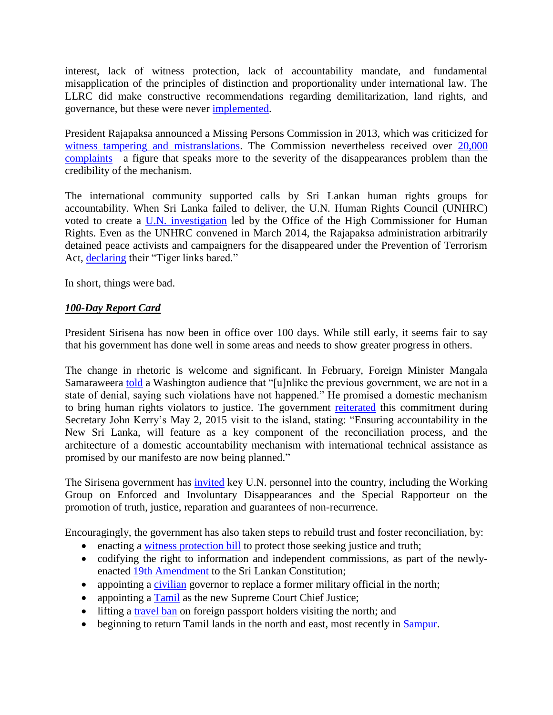interest, lack of witness protection, lack of accountability mandate, and fundamental misapplication of the principles of distinction and proportionality under international law. The LLRC did make constructive recommendations regarding demilitarization, land rights, and governance, but these were never [implemented.](http://www.cpalanka.org/commentary-on-the-progress-achieved-in-implementing-the-national-plan-of-action-to-implement-the-recommendations-of-the-lessons-learnt-and-reconciliation-commission/)

President Rajapaksa announced a Missing Persons Commission in 2013, which was criticized for [witness tampering and mistranslations.](http://www.cpalanka.org/a-commentary-onthe-presidential-commission-to-investigate-missing-persons/) The Commission nevertheless received over 20,000 [complaints—](http://www.pcicmp.lk/)a figure that speaks more to the severity of the disappearances problem than the credibility of the mechanism.

The international community supported calls by Sri Lankan human rights groups for accountability. When Sri Lanka failed to deliver, the U.N. Human Rights Council (UNHRC) voted to create a [U.N. investigation](http://www.ohchr.org/EN/HRBodies/HRC/Pages/OISL.aspx) led by the Office of the High Commissioner for Human Rights. Even as the UNHRC convened in March 2014, the Rajapaksa administration arbitrarily detained peace activists and campaigners for the disappeared under the Prevention of Terrorism Act, [declaring](http://www.srilankaguardian.org/2014/03/oops-gota-ordered-to-delete-libelous.html) their "Tiger links bared."

In short, things were bad.

# *100-Day Report Card*

President Sirisena has now been in office over 100 days. While still early, it seems fair to say that his government has done well in some areas and needs to show greater progress in others.

The change in rhetoric is welcome and significant. In February, Foreign Minister Mangala Samaraweera [told](http://carnegieendowment.org/2015/02/11/sri-lanka-after-presidential-election/i13p) a Washington audience that "[u]nlike the previous government, we are not in a state of denial, saying such violations have not happened." He promised a domestic mechanism to bring human rights violators to justice. The government [reiterated](http://news.lk/news/sri-lanka/item/7450-sl-u-s-agree-to-build-on-a-multifaceted-bilateral-relationship-forge-stronger-links) this commitment during Secretary John Kerry's May 2, 2015 visit to the island, stating: "Ensuring accountability in the New Sri Lanka, will feature as a key component of the reconciliation process, and the architecture of a domestic accountability mechanism with international technical assistance as promised by our manifesto are now being planned."

The Sirisena government has [invited](http://www.nytimes.com/interactive/2015/02/16/world/asia/sri-lanka-united-nations-inquiry.html) key U.N. personnel into the country, including the Working Group on Enforced and Involuntary Disappearances and the Special Rapporteur on the promotion of truth, justice, reparation and guarantees of non-recurrence.

Encouragingly, the government has also taken steps to rebuild trust and foster reconciliation, by:

- enacting a [witness protection bill](http://www.dailynews.lk/?q=political/parliament-20022015) to protect those seeking justice and truth;
- codifying the right to information and independent commissions, as part of the newlyenacted [19th Amendment](http://www.priu.gov.lk/news_update/Current_Affairs/ca201504/20150428nineteenth_amendment_adopted.htm) to the Sri Lankan Constitution;
- appointing a [civilian](http://www.np.gov.lk/index.php?option=com_content&view=article&id=3262:new-civilian-governor-appointed-to-northern-province-of-sri-lanka&catid=8:min-gs&Itemid=114) governor to replace a former military official in the north;
- appointing a [Tamil](http://www.bbc.com/news/world-asia-31068699) as the new Supreme Court Chief Justice;
- lifting a [travel ban](http://www.news.lk/news/sri-lanka/item/5764-sri-lanka-lifts-travel-restrictions-in-north) on foreign passport holders visiting the north; and
- beginning to return Tamil lands in the north and east, most recently in [Sampur.](http://www.defence.lk/new.asp?fname=President_revokes_Sampur_land_agreement_20150509_01)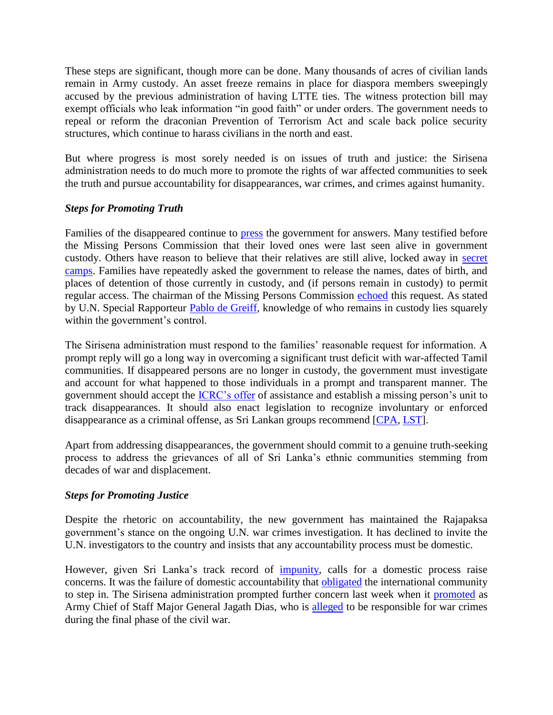These steps are significant, though more can be done. Many thousands of acres of civilian lands remain in Army custody. An asset freeze remains in place for diaspora members sweepingly accused by the previous administration of having LTTE ties. The witness protection bill may exempt officials who leak information "in good faith" or under orders. The government needs to repeal or reform the draconian Prevention of Terrorism Act and scale back police security structures, which continue to harass civilians in the north and east.

But where progress is most sorely needed is on issues of truth and justice: the Sirisena administration needs to do much more to promote the rights of war affected communities to seek the truth and pursue accountability for disappearances, war crimes, and crimes against humanity.

# *Steps for Promoting Truth*

Families of the disappeared continue to [press](http://www.thesundayleader.lk/2015/05/10/questions-still-unanswered/) the government for answers. Many testified before the Missing Persons Commission that their loved ones were last seen alive in government custody. Others have reason to believe that their relatives are still alive, locked away in [secret](http://www.colombopage.com/archive_15A/Feb21_1424503390CH.php)  [camps.](http://www.colombopage.com/archive_15A/Feb21_1424503390CH.php) Families have repeatedly asked the government to release the names, dates of birth, and places of detention of those currently in custody, and (if persons remain in custody) to permit regular access. The chairman of the Missing Persons Commission [echoed](http://www.priu.gov.lk/news_update/Current_Affairs/ca201504/2015042860_allegations_werelevelled_against_ltte_missing_persons_commission.htm) this request. As stated by U.N. Special Rapporteur [Pablo de Greiff,](http://www.ohchr.org/EN/NewsEvents/Pages/DisplayNews.aspx?NewsID=15820&LangID=E#sthash.XnRXX7nU.dpuf) knowledge of who remains in custody lies squarely within the government's control.

The Sirisena administration must respond to the families' reasonable request for information. A prompt reply will go a long way in overcoming a significant trust deficit with war-affected Tamil communities. If disappeared persons are no longer in custody, the government must investigate and account for what happened to those individuals in a prompt and transparent manner. The government should accept the [ICRC's offer](https://www.icrc.org/en/document/clarifying-fate-missing-persons-sri-lanka-requires-sustained-commitment) of assistance and establish a missing person's unit to track disappearances. It should also enact legislation to recognize involuntary or enforced disappearance as a criminal offense, as Sri Lankan groups recommend [\[CPA,](http://www.cpalanka.org/wp-content/uploads/2015/05/CPA-Submission-to-Sri-Lanka-Law-Commission.pdf) [LST\]](http://www.lawandsocietytrust.org/PDF/Media%20release%20Enforced%20disappearance.pdf).

Apart from addressing disappearances, the government should commit to a genuine truth-seeking process to address the grievances of all of Sri Lanka's ethnic communities stemming from decades of war and displacement.

#### *Steps for Promoting Justice*

Despite the rhetoric on accountability, the new government has maintained the Rajapaksa government's stance on the ongoing U.N. war crimes investigation. It has declined to invite the U.N. investigators to the country and insists that any accountability process must be domestic.

However, given Sri Lanka's track record of **impunity**, calls for a domestic process raise concerns. It was the failure of domestic accountability that **obligated** the international community to step in. The Sirisena administration prompted further concern last week when it [promoted](http://www.news.lk/news/sri-lanka/item/7651-major-general-jagath-dias-appointed-army-chief-of-staff) as Army Chief of Staff Major General Jagath Dias, who is [alleged](http://www.ecchr.de/sri-lanka.404.html?file=tl_files/Dokumente/Universelle%20Justiz/Sri%20Lanka%2C%20Dias%2C%20Dossier%2C%202011-01%2C%20en.pdf) to be responsible for war crimes during the final phase of the civil war.